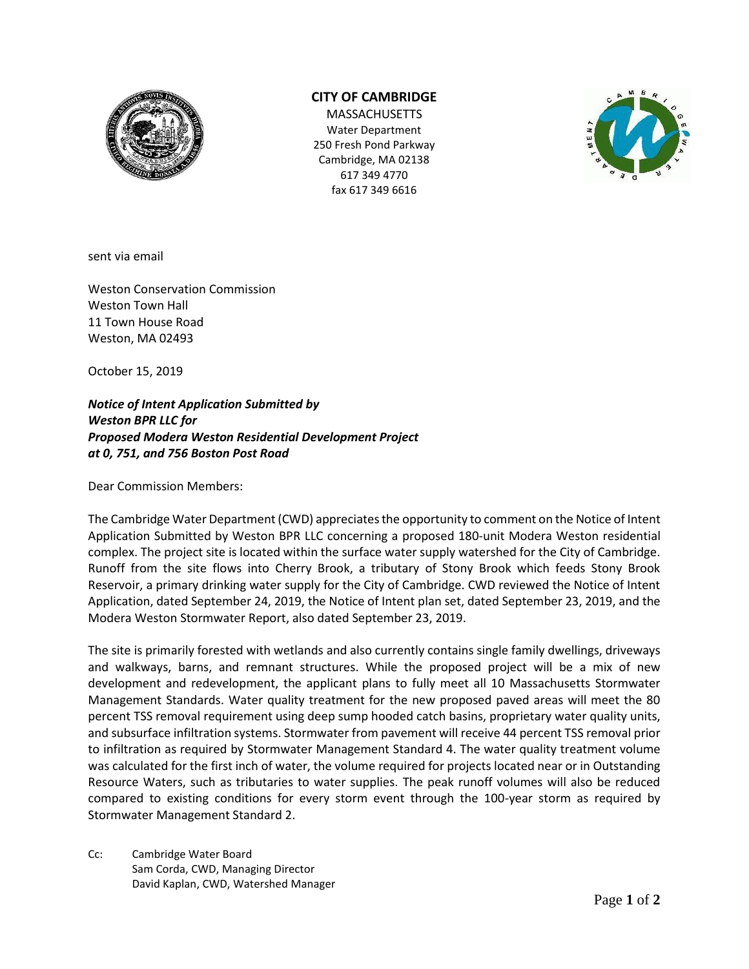

## **CITY OF CAMBRIDGE**

**MASSACHUSETTS** Water Department 250 Fresh Pond Parkway Cambridge, MA 02138 617 349 4770 fax 617 349 6616



sent via email

Weston Conservation Commission Weston Town Hall 11 Town House Road Weston, MA 02493

October 15, 2019

*Notice of Intent Application Submitted by Weston BPR LLC for Proposed Modera Weston Residential Development Project at 0, 751, and 756 Boston Post Road*

Dear Commission Members:

The Cambridge Water Department (CWD) appreciates the opportunity to comment on the Notice of Intent Application Submitted by Weston BPR LLC concerning a proposed 180-unit Modera Weston residential complex. The project site is located within the surface water supply watershed for the City of Cambridge. Runoff from the site flows into Cherry Brook, a tributary of Stony Brook which feeds Stony Brook Reservoir, a primary drinking water supply for the City of Cambridge. CWD reviewed the Notice of Intent Application, dated September 24, 2019, the Notice of Intent plan set, dated September 23, 2019, and the Modera Weston Stormwater Report, also dated September 23, 2019.

The site is primarily forested with wetlands and also currently contains single family dwellings, driveways and walkways, barns, and remnant structures. While the proposed project will be a mix of new development and redevelopment, the applicant plans to fully meet all 10 Massachusetts Stormwater Management Standards. Water quality treatment for the new proposed paved areas will meet the 80 percent TSS removal requirement using deep sump hooded catch basins, proprietary water quality units, and subsurface infiltration systems. Stormwater from pavement will receive 44 percent TSS removal prior to infiltration as required by Stormwater Management Standard 4. The water quality treatment volume was calculated for the first inch of water, the volume required for projects located near or in Outstanding Resource Waters, such as tributaries to water supplies. The peak runoff volumes will also be reduced compared to existing conditions for every storm event through the 100-year storm as required by Stormwater Management Standard 2.

Cc: Cambridge Water Board Sam Corda, CWD, Managing Director David Kaplan, CWD, Watershed Manager